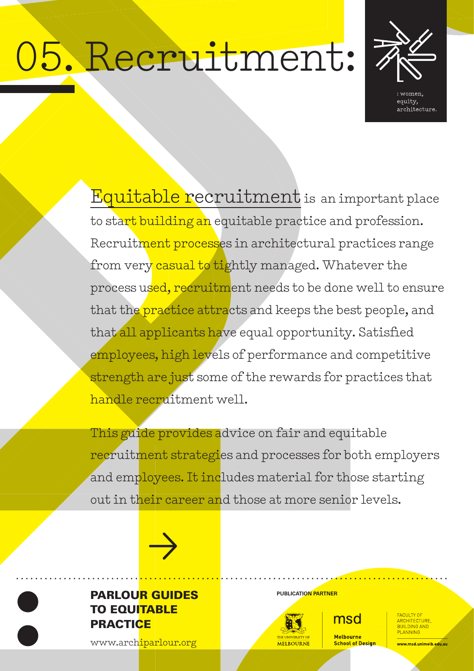# 05. Recruitment:



Equitable recruitment is an important place to start building an equitable practice and profession. Recruitment processes in architectural practices range from very casual to tightly managed. Whatever the process used, recruitment needs to be done well to ensure that the practice attracts and keeps the best people, and that all applicants have equal opportunity. Satisfied employees, high levels of performance and competitive strength are just some of the rewards for practices that handle recruitment well.

This guide provides advice on fair and equitable recruitment strategies and processes for both employers and employees. It includes material for those starting out in their career and those at more senior levels.



# **PARLOUR GUIDES** PUBLICATION PARTNER TO EQUITABLE **PRACTICE**

[www.archiparlour.org](http://www.archiparlour.org)



msd **Melbourne School of Design** 

ARCHITECTURE **PLANNING** 

<mark>vww.msd.unimelb.edu.</mark>au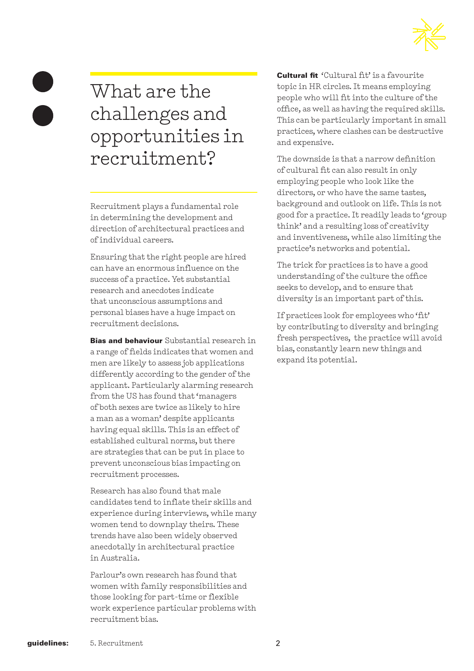

# What are the challenges and opportunities in recruitment?

Recruitment plays a fundamental role in determining the development and direction of architectural practices and of individual careers.

Ensuring that the right people are hired can have an enormous influence on the success of a practice. Yet substantial research and anecdotes indicate that unconscious assumptions and personal biases have a huge impact on recruitment decisions.

**Bias and behaviour** Substantial research in a range of fields indicates that women and men are likely to assess job applications differently according to the gender of the applicant. Particularly alarming research from the US has found that 'managers of both sexes are twice as likely to hire a man as a woman' despite applicants having equal skills. This is an effect of established cultural norms, but there are strategies that can be put in place to prevent unconscious bias impacting on recruitment processes.

Research has also found that male candidates tend to inflate their skills and experience during interviews, while many women tend to downplay theirs. These trends have also been widely observed anecdotally in architectural practice in Australia.

Parlour's own research has found that women with family responsibilities and those looking for part-time or flexible work experience particular problems with recruitment bias.

Cultural fit 'Cultural fit' is a favourite topic in HR circles. It means employing people who will fit into the culture of the office, as well as having the required skills. This can be particularly important in small practices, where clashes can be destructive and expensive.

The downside is that a narrow definition of cultural fit can also result in only employing people who look like the directors, or who have the same tastes, background and outlook on life. This is not good for a practice. It readily leads to 'group think' and a resulting loss of creativity and inventiveness, while also limiting the practice's networks and potential.

The trick for practices is to have a good understanding of the culture the office seeks to develop, and to ensure that diversity is an important part of this.

If practices look for employees who 'fit' by contributing to diversity and bringing fresh perspectives, the practice will avoid bias, constantly learn new things and expand its potential.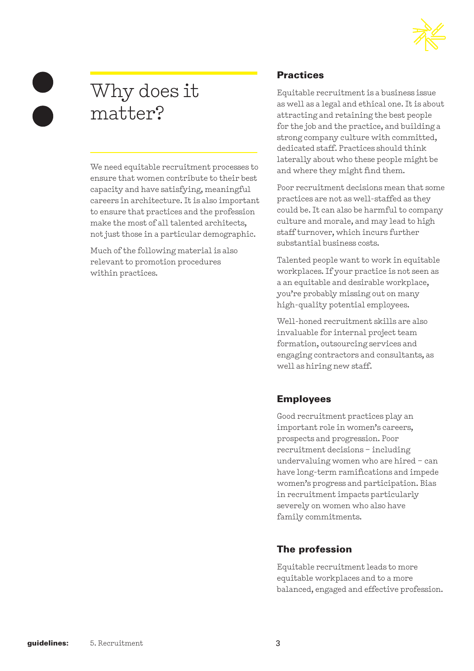

# Why does it matter?

We need equitable recruitment processes to ensure that women contribute to their best capacity and have satisfying, meaningful careers in architecture. It is also important to ensure that practices and the profession make the most of all talented architects, not just those in a particular demographic.

Much of the following material is also relevant to promotion procedures within practices.

### **Practices**

Equitable recruitment is a business issue as well as a legal and ethical one. It is about attracting and retaining the best people for the job and the practice, and building a strong company culture with committed, dedicated staff. Practices should think laterally about who these people might be and where they might find them.

Poor recruitment decisions mean that some practices are not as well-staffed as they could be. It can also be harmful to company culture and morale, and may lead to high staff turnover, which incurs further substantial business costs.

Talented people want to work in equitable workplaces. If your practice is not seen as a an equitable and desirable workplace, you're probably missing out on many high-quality potential employees.

Well-honed recruitment skills are also invaluable for internal project team formation, outsourcing services and engaging contractors and consultants, as well as hiring new staff.

### Employees

Good recruitment practices play an important role in women's careers, prospects and progression. Poor recruitment decisions – including undervaluing women who are hired – can have long-term ramifications and impede women's progress and participation. Bias in recruitment impacts particularly severely on women who also have family commitments.

### The profession

Equitable recruitment leads to more equitable workplaces and to a more balanced, engaged and effective profession.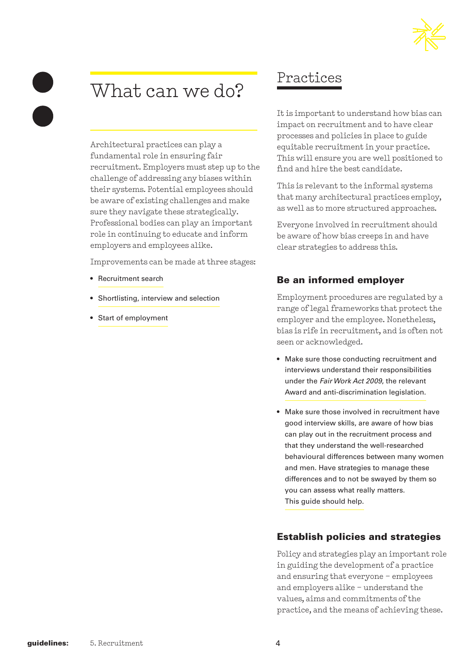# What can we do?

Architectural practices can play a fundamental role in ensuring fair recruitment. Employers must step up to the challenge of addressing any biases within their systems. Potential employees should be aware of existing challenges and make sure they navigate these strategically. Professional bodies can play an important role in continuing to educate and inform employers and employees alike.

Improvements can be made at three stages:

- Recruitment search
- Shortlisting, interview and selection
- Start of employment

# Practices

It is important to understand how bias can impact on recruitment and to have clear processes and policies in place to guide equitable recruitment in your practice. This will ensure you are well positioned to find and hire the best candidate.

This is relevant to the informal systems that many architectural practices employ, as well as to more structured approaches.

Everyone involved in recruitment should be aware of how bias creeps in and have clear strategies to address this.

### Be an informed employer

Employment procedures are regulated by a range of legal frameworks that protect the employer and the employee. Nonetheless, bias is rife in recruitment, and is often not seen or acknowledged.

- Make sure those conducting recruitment and interviews understand their responsibilities under the *Fair Work Act 2009*, the relevant Award and anti-discrimination legislation.
- Make sure those involved in recruitment have good interview skills, are aware of how bias can play out in the recruitment process and that they understand the well-researched behavioural differences between many women and men. Have strategies to manage these differences and to not be swayed by them so you can assess what really matters. This guide should help.

### Establish policies and strategies

Policy and strategies play an important role in guiding the development of a practice and ensuring that everyone – employees and employers alike – understand the values, aims and commitments of the practice, and the means of achieving these.

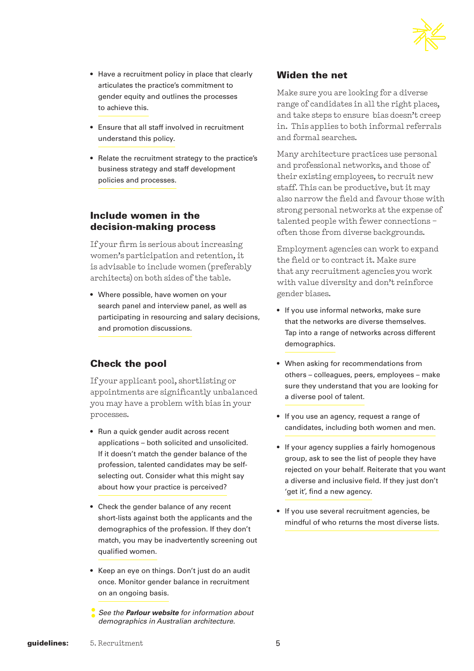

- Have a recruitment policy in place that clearly articulates the practice's commitment to gender equity and outlines the processes to achieve this.
- Ensure that all staff involved in recruitment understand this policy.
- Relate the recruitment strategy to the practice's business strategy and staff development policies and processes.

### Include women in the decision-making process

If your firm is serious about increasing women's participation and retention, it is advisable to include women (preferably architects) on both sides of the table.

• Where possible, have women on your search panel and interview panel, as well as participating in resourcing and salary decisions, and promotion discussions.

### Check the pool

If your applicant pool, shortlisting or appointments are significantly unbalanced you may have a problem with bias in your processes.

- Run a quick gender audit across recent applications – both solicited and unsolicited. If it doesn't match the gender balance of the profession, talented candidates may be selfselecting out. Consider what this might say about how your practice is perceived?
- Check the gender balance of any recent short-lists against both the applicants and the demographics of the profession. If they don't match, you may be inadvertently screening out qualified women.
- Keep an eye on things. Don't just do an audit once. Monitor gender balance in recruitment on an ongoing basis.
- **:** *See the Parlour website for information about demographics in Australian architecture.*

### Widen the net

Make sure you are looking for a diverse range of candidates in all the right places, and take steps to ensure bias doesn't creep in. This applies to both informal referrals and formal searches.

Many architecture practices use personal and professional networks, and those of their existing employees, to recruit new staff. This can be productive, but it may also narrow the field and favour those with strong personal networks at the expense of talented people with fewer connections – often those from diverse backgrounds.

Employment agencies can work to expand the field or to contract it. Make sure that any recruitment agencies you work with value diversity and don't reinforce gender biases.

- If you use informal networks, make sure that the networks are diverse themselves. Tap into a range of networks across different demographics.
- When asking for recommendations from others – colleagues, peers, employees – make sure they understand that you are looking for a diverse pool of talent.
- If you use an agency, request a range of candidates, including both women and men.
- If your agency supplies a fairly homogenous group, ask to see the list of people they have rejected on your behalf. Reiterate that you want a diverse and inclusive field. If they just don't 'get it', find a new agency.
- If you use several recruitment agencies, be mindful of who returns the most diverse lists.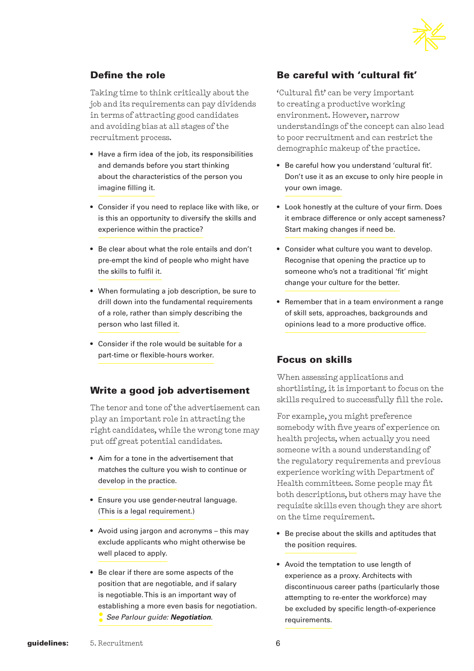

### Define the role

Taking time to think critically about the job and its requirements can pay dividends in terms of attracting good candidates and avoiding bias at all stages of the recruitment process.

- Have a firm idea of the job, its responsibilities and demands before you start thinking about the characteristics of the person you imagine filling it.
- Consider if you need to replace like with like, or is this an opportunity to diversify the skills and experience within the practice?
- Be clear about what the role entails and don't pre-empt the kind of people who might have the skills to fulfil it.
- When formulating a job description, be sure to drill down into the fundamental requirements of a role, rather than simply describing the person who last filled it.
- Consider if the role would be suitable for a part-time or flexible-hours worker.

### Write a good job advertisement

The tenor and tone of the advertisement can play an important role in attracting the right candidates, while the wrong tone may put off great potential candidates.

- Aim for a tone in the advertisement that matches the culture you wish to continue or develop in the practice.
- Ensure you use gender-neutral language. (This is a legal requirement.)
- Avoid using jargon and acronyms this may exclude applicants who might otherwise be well placed to apply.
- Be clear if there are some aspects of the position that are negotiable, and if salary is negotiable. This is an important way of establishing a more even basis for negotiation. **:** *See Parlour guide: Negotiation*.

### Be careful with 'cultural fit'

'Cultural fit' can be very important to creating a productive working environment. However, narrow understandings of the concept can also lead to poor recruitment and can restrict the demographic makeup of the practice.

- Be careful how you understand 'cultural fit'. Don't use it as an excuse to only hire people in your own image.
- Look honestly at the culture of your firm. Does it embrace difference or only accept sameness? Start making changes if need be.
- Consider what culture you want to develop. Recognise that opening the practice up to someone who's not a traditional 'fit' might change your culture for the better.
- Remember that in a team environment a range of skill sets, approaches, backgrounds and opinions lead to a more productive office.

### Focus on skills

When assessing applications and shortlisting, it is important to focus on the skills required to successfully fill the role.

For example, you might preference somebody with five years of experience on health projects, when actually you need someone with a sound understanding of the regulatory requirements and previous experience working with Department of Health committees. Some people may fit both descriptions, but others may have the requisite skills even though they are short on the time requirement.

- Be precise about the skills and aptitudes that the position requires.
- Avoid the temptation to use length of experience as a proxy. Architects with discontinuous career paths (particularly those attempting to re-enter the workforce) may be excluded by specific length-of-experience requirements.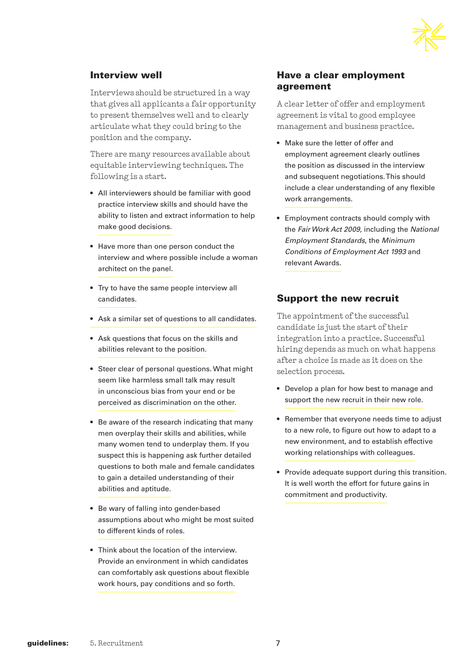

### Interview well

Interviews should be structured in a way that gives all applicants a fair opportunity to present themselves well and to clearly articulate what they could bring to the position and the company.

There are many resources available about equitable interviewing techniques. The following is a start.

- All interviewers should be familiar with good practice interview skills and should have the ability to listen and extract information to help make good decisions.
- Have more than one person conduct the interview and where possible include a woman architect on the panel.
- Try to have the same people interview all candidates.
- Ask a similar set of questions to all candidates.
- Ask questions that focus on the skills and abilities relevant to the position.
- Steer clear of personal questions. What might seem like harmless small talk may result in unconscious bias from your end or be perceived as discrimination on the other.
- Be aware of the research indicating that many men overplay their skills and abilities, while many women tend to underplay them. If you suspect this is happening ask further detailed questions to both male and female candidates to gain a detailed understanding of their abilities and aptitude.
- Be wary of falling into gender-based assumptions about who might be most suited to different kinds of roles.
- Think about the location of the interview. Provide an environment in which candidates can comfortably ask questions about flexible work hours, pay conditions and so forth.

### Have a clear employment agreement

A clear letter of offer and employment agreement is vital to good employee management and business practice.

- Make sure the letter of offer and employment agreement clearly outlines the position as discussed in the interview and subsequent negotiations. This should include a clear understanding of any flexible work arrangements.
- Employment contracts should comply with the *Fair Work Act 2009*, including the *National Employment Standards*, the *Minimum Conditions of Employment Act 1993* and relevant Awards.

### Support the new recruit

The appointment of the successful candidate is just the start of their integration into a practice. Successful hiring depends as much on what happens after a choice is made as it does on the selection process.

- Develop a plan for how best to manage and support the new recruit in their new role.
- Remember that everyone needs time to adjust to a new role, to figure out how to adapt to a new environment, and to establish effective working relationships with colleagues.
- Provide adequate support during this transition. It is well worth the effort for future gains in commitment and productivity.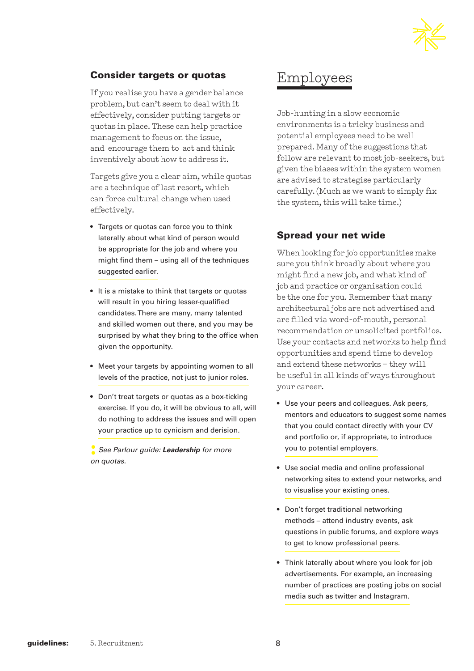

### Consider targets or quotas

If you realise you have a gender balance problem, but can't seem to deal with it effectively, consider putting targets or quotas in place. These can help practice management to focus on the issue, and encourage them to act and think inventively about how to address it.

Targets give you a clear aim, while quotas are a technique of last resort, which can force cultural change when used effectively.

- Targets or quotas can force you to think laterally about what kind of person would be appropriate for the job and where you might find them – using all of the techniques suggested earlier.
- It is a mistake to think that targets or quotas will result in you hiring lesser-qualified candidates. There are many, many talented and skilled women out there, and you may be surprised by what they bring to the office when given the opportunity.
- Meet your targets by appointing women to all levels of the practice, not just to junior roles.
- Don't treat targets or quotas as a box-ticking exercise. If you do, it will be obvious to all, will do nothing to address the issues and will open your practice up to cynicism and derision.

**:** *See Parlour guide: Leadership for more on quotas.* 

# Employees

Job-hunting in a slow economic environments is a tricky business and potential employees need to be well prepared. Many of the suggestions that follow are relevant to most job-seekers, but given the biases within the system women are advised to strategise particularly carefully. (Much as we want to simply fix the system, this will take time.)

### Spread your net wide

When looking for job opportunities make sure you think broadly about where you might find a new job, and what kind of job and practice or organisation could be the one for you. Remember that many architectural jobs are not advertised and are filled via word-of-mouth, personal recommendation or unsolicited portfolios. Use your contacts and networks to help find opportunities and spend time to develop and extend these networks – they will be useful in all kinds of ways throughout your career.

- Use your peers and colleagues. Ask peers, mentors and educators to suggest some names that you could contact directly with your CV and portfolio or, if appropriate, to introduce you to potential employers.
- Use social media and online professional networking sites to extend your networks, and to visualise your existing ones.
- Don't forget traditional networking methods – attend industry events, ask questions in public forums, and explore ways to get to know professional peers.
- Think laterally about where you look for job advertisements. For example, an increasing number of practices are posting jobs on social media such as twitter and Instagram.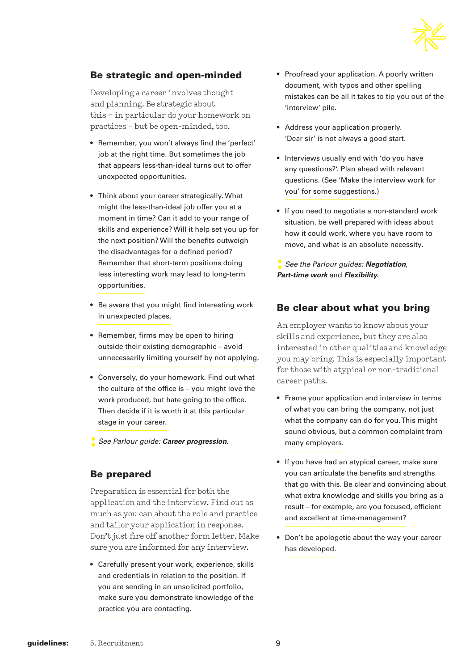

### Be strategic and open-minded

Developing a career involves thought and planning. Be strategic about this – in particular do your homework on practices – but be open-minded, too.

- Remember, you won't always find the 'perfect' job at the right time. But sometimes the job that appears less-than-ideal turns out to offer unexpected opportunities.
- Think about your career strategically. What might the less-than-ideal job offer you at a moment in time? Can it add to your range of skills and experience? Will it help set you up for the next position? Will the benefits outweigh the disadvantages for a defined period? Remember that short-term positions doing less interesting work may lead to long-term opportunities.
- Be aware that you might find interesting work in unexpected places.
- Remember, firms may be open to hiring outside their existing demographic – avoid unnecessarily limiting yourself by not applying.
- Conversely, do your homework. Find out what the culture of the office is – you might love the work produced, but hate going to the office. Then decide if it is worth it at this particular stage in your career.
- **:** *See Parlour guide: Career progression.*

### Be prepared

Preparation is essential for both the application and the interview. Find out as much as you can about the role and practice and tailor your application in response. Don't just fire off another form letter. Make sure you are informed for any interview.

• Carefully present your work, experience, skills and credentials in relation to the position. If you are sending in an unsolicited portfolio, make sure you demonstrate knowledge of the practice you are contacting.

- Proofread your application. A poorly written document, with typos and other spelling mistakes can be all it takes to tip you out of the 'interview' pile.
- Address your application properly. 'Dear sir' is not always a good start.
- Interviews usually end with 'do you have any questions?'. Plan ahead with relevant questions. (See 'Make the interview work for you' for some suggestions.)
- If you need to negotiate a non-standard work situation, be well prepared with ideas about how it could work, where you have room to move, and what is an absolute necessity.
- **:** *See the Parlour guides: Negotiation*, *Part-time work* and *Flexibility.*

### Be clear about what you bring

An employer wants to know about your skills and experience, but they are also interested in other qualities and knowledge you may bring. This is especially important for those with atypical or non-traditional career paths.

- Frame your application and interview in terms of what you can bring the company, not just what the company can do for you. This might sound obvious, but a common complaint from many employers.
- If you have had an atypical career, make sure you can articulate the benefits and strengths that go with this. Be clear and convincing about what extra knowledge and skills you bring as a result – for example, are you focused, efficient and excellent at time-management?
- Don't be apologetic about the way your career has developed.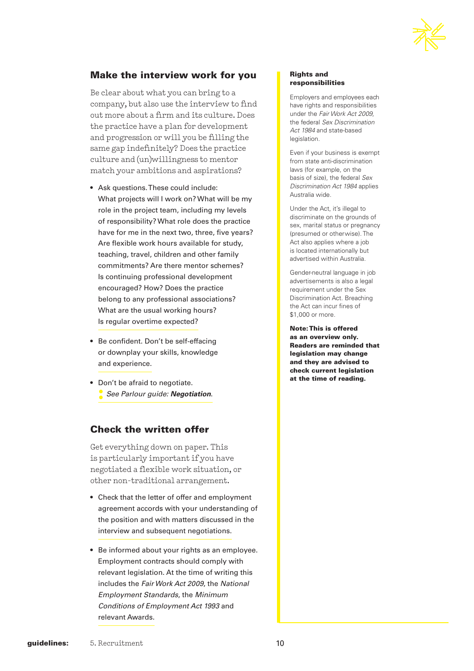

### Make the interview work for you

Be clear about what you can bring to a company, but also use the interview to find out more about a firm and its culture. Does the practice have a plan for development and progression or will you be filling the same gap indefinitely? Does the practice culture and (un)willingness to mentor match your ambitions and aspirations?

- Ask questions. These could include: What projects will I work on? What will be my role in the project team, including my levels of responsibility? What role does the practice have for me in the next two, three, five years? Are flexible work hours available for study, teaching, travel, children and other family commitments? Are there mentor schemes? Is continuing professional development encouraged? How? Does the practice belong to any professional associations? What are the usual working hours? Is regular overtime expected?
- Be confident. Don't be self-effacing or downplay your skills, knowledge and experience.
- Don't be afraid to negotiate. **:** *See Parlour guide: Negotiation*.

### Check the written offer

Get everything down on paper. This is particularly important if you have negotiated a flexible work situation, or other non-traditional arrangement.

- Check that the letter of offer and employment agreement accords with your understanding of the position and with matters discussed in the interview and subsequent negotiations.
- Be informed about your rights as an employee. Employment contracts should comply with relevant legislation. At the time of writing this includes the *Fair Work Act 2009*, the *National Employment Standards*, the *Minimum Conditions of Employment Act 1993* and relevant Awards.

### Rights and responsibilities

Employers and employees each have rights and responsibilities under the *Fair Work Act 2009*, the federal *Sex Discrimination Act 1984* and state-based legislation.

Even if your business is exempt from state anti-discrimination laws (for example, on the basis of size), the federal *Sex Discrimination Act 1984* applies Australia wide.

Under the Act, it's illegal to discriminate on the grounds of sex, marital status or pregnancy (presumed or otherwise). The Act also applies where a job is located internationally but advertised within Australia.

Gender-neutral language in job advertisements is also a legal requirement under the Sex Discrimination Act. Breaching the Act can incur fines of \$1,000 or more.

Note: This is offered as an overview only. Readers are reminded that legislation may change and they are advised to check current legislation at the time of reading.